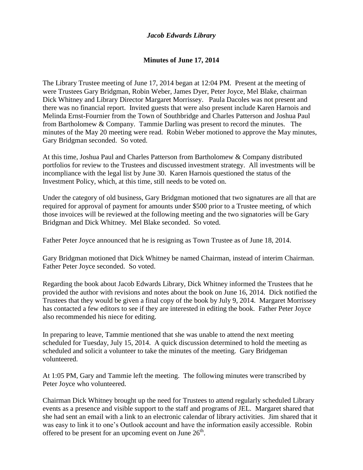## *Jacob Edwards Library*

## **Minutes of June 17, 2014**

The Library Trustee meeting of June 17, 2014 began at 12:04 PM. Present at the meeting of were Trustees Gary Bridgman, Robin Weber, James Dyer, Peter Joyce, Mel Blake, chairman Dick Whitney and Library Director Margaret Morrissey. Paula Dacoles was not present and there was no financial report. Invited guests that were also present include Karen Harnois and Melinda Ernst-Fournier from the Town of Southbridge and Charles Patterson and Joshua Paul from Bartholomew & Company. Tammie Darling was present to record the minutes. The minutes of the May 20 meeting were read. Robin Weber motioned to approve the May minutes, Gary Bridgman seconded. So voted.

At this time, Joshua Paul and Charles Patterson from Bartholomew & Company distributed portfolios for review to the Trustees and discussed investment strategy. All investments will be incompliance with the legal list by June 30. Karen Harnois questioned the status of the Investment Policy, which, at this time, still needs to be voted on.

Under the category of old business, Gary Bridgman motioned that two signatures are all that are required for approval of payment for amounts under \$500 prior to a Trustee meeting, of which those invoices will be reviewed at the following meeting and the two signatories will be Gary Bridgman and Dick Whitney. Mel Blake seconded. So voted.

Father Peter Joyce announced that he is resigning as Town Trustee as of June 18, 2014.

Gary Bridgman motioned that Dick Whitney be named Chairman, instead of interim Chairman. Father Peter Joyce seconded. So voted.

Regarding the book about Jacob Edwards Library, Dick Whitney informed the Trustees that he provided the author with revisions and notes about the book on June 16, 2014. Dick notified the Trustees that they would be given a final copy of the book by July 9, 2014. Margaret Morrissey has contacted a few editors to see if they are interested in editing the book. Father Peter Joyce also recommended his niece for editing.

In preparing to leave, Tammie mentioned that she was unable to attend the next meeting scheduled for Tuesday, July 15, 2014. A quick discussion determined to hold the meeting as scheduled and solicit a volunteer to take the minutes of the meeting. Gary Bridgeman volunteered.

At 1:05 PM, Gary and Tammie left the meeting. The following minutes were transcribed by Peter Joyce who volunteered.

Chairman Dick Whitney brought up the need for Trustees to attend regularly scheduled Library events as a presence and visible support to the staff and programs of JEL. Margaret shared that she had sent an email with a link to an electronic calendar of library activities. Jim shared that it was easy to link it to one's Outlook account and have the information easily accessible. Robin offered to be present for an upcoming event on June  $26<sup>th</sup>$ .